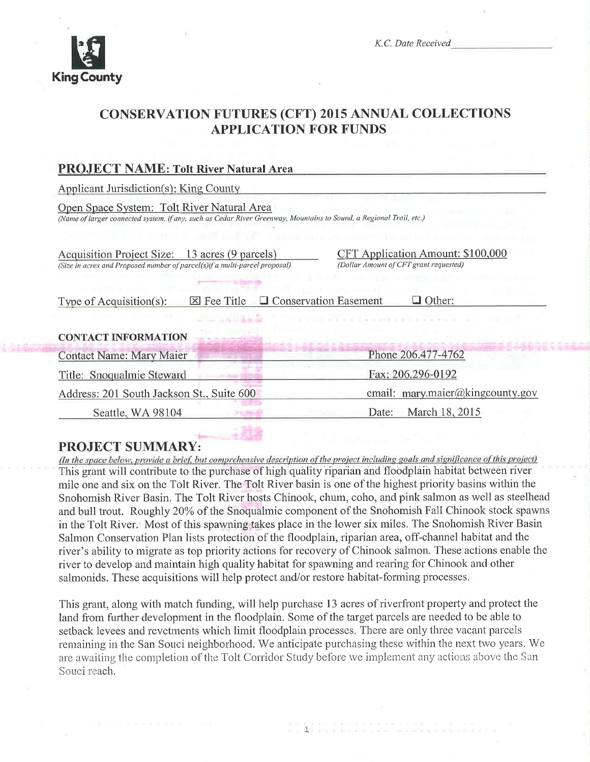

K.C. Date Received

## CONSERVATION FUTURES (CFT) 2015 ANNUAL COLLECTIONS APPLICATION FOR FUNDS

| <b>PROJECT NAME: Tolt River Natural Area</b>                                                                                                                      |                                                                             |  |
|-------------------------------------------------------------------------------------------------------------------------------------------------------------------|-----------------------------------------------------------------------------|--|
| Applicant Jurisdiction(s): King County                                                                                                                            |                                                                             |  |
| Open Space System: Tolt River Natural Area<br>(Name of larger connected system, if any, such as Cedar River Greenway, Mountains to Sound, a Regional Trail, etc.) |                                                                             |  |
| Acquisition Project Size: 13 acres (9 parcels)<br>(Size in acres and Proposed number of parcel(s) if a multi-parcel proposal)                                     | CFT Application Amount: \$100,000<br>(Dollar Amount of CFT grant requested) |  |
| <b>Q</b> Conservation Easement<br>$\Box$ Other:<br>Type of Acquisition(s):<br>$\boxtimes$ Fee Title                                                               |                                                                             |  |
| <b>CONTACT INFORMATION</b>                                                                                                                                        |                                                                             |  |
| <b>Contact Name: Mary Maier</b>                                                                                                                                   | Phone 206.477-4762                                                          |  |
| Title: Snoqualmie Steward                                                                                                                                         | Fax: 206.296-0192                                                           |  |
| Address: 201 South Jackson St., Suite 600                                                                                                                         | email: mary.maier@kingcounty.gov                                            |  |
| Seattle, WA 98104                                                                                                                                                 | March 18, 2015<br>Date:                                                     |  |
|                                                                                                                                                                   |                                                                             |  |

**PROJECT SUMMARY:**<br>(In the space below, provide a brief, but comprehensive description of the project including goals and significance of this project) This grant will contribute to the purchase of high quality riparian and floodplain habitat between river mile one and six on the Tolt River. The Tolt River basin is one of the highest priority basins within the Snohomish River Basin. The Tolt River hosts Chinook, chum, coho, and pink salmon as well as steelhead and bull trout. Roughly 20% of the Snoqualmie component of the Snohomish Fall Chinook stock spawns in the Tolt River.<sup>†</sup> Most of this spawning takes place in the lower six miles. The Snohomish River Basin Salmon Conservation Plan lists protection of the floodplain, riparian area, off-channel habitat and the river's ability to migrate as top priority actions for recovery of Chinook salmon. These actions enable the river to develop and maintain high quality habitat for spawning and rearing for Chinook and other salmonids. These acquisitions will help protect and/or restore habitat-forming processes.

This grant, along with rnatch funding, will help purchase 13 acres of riverfront property and protect the land from further development in the floodplain. Some of the target parcels are needed to be able to setback levees and revetments which limit floodplain processes. There are only three vacant parcels remaining in the San Souci neighborhood. We anticipate purchasing these within the next two years. We are awaiting the completion of the Tolt Corridor Study before we implement any actions above the San Souci reach.

1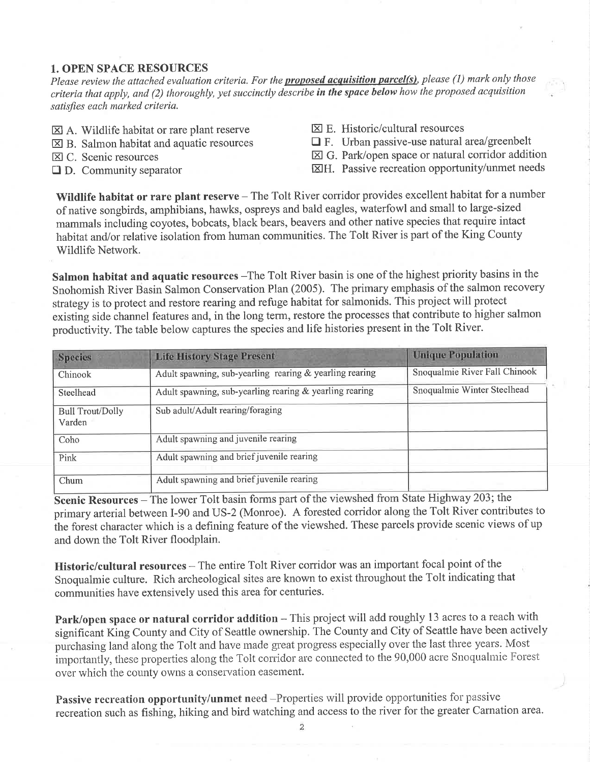#### 1. OPEN SPACE RESOURCES

Please review the attached evaluation criteria. For the **proposed acquisition parcel(s)**, please (1) mark only those criteria that apply, and (2) thoroughly, yet succinctly describe in the space below how the proposed acquisition satisfies each marked criteria.

- $\boxtimes$  A. Wildlife habitat or rare plant reserve
- $\boxtimes$  B. Salmon habitat and aquatic resources
- E] C. Scenic resources
- $\Box$  D. Community separator
- $\boxtimes$  E. Historic/cultural resources
- $\Box$  F. Urban passive-use natural area/greenbelt
- $\boxtimes$  G. Park/open space or natural corridor addition
- EH. Passive recreation opportunity/unmet needs

Wildlife habitat or rare plant reserve - The Tolt River corridor provides excellent habitat for a number of native songbirds, amphibians, hawks, ospreys and bald eagles, waterfowl and small to large-sized mammals including coyotes, bobcats, black bears, beavers and other native species that require intact habitat and/or relative isolation from human communities. The Tolt River is part of the King County Wildlife Network.

Salmon habitat and aquatic resources -The Tolt River basin is one of the highest priority basins in the Snohomish River Basin Salmon Conservation Plan (2005). The primary emphasis of the salmon recovery strategy is to protect and restore rearing and refuge habitat for salmonids. This project will protect existing side channel features and, in the long term, restore the processes that contribute to higher salmon productivity. The table below captures the species and life histories present in the Tolt River.

| <b>Species</b>                    | <b>Life History Stage Present</b>                       | <b>Unique Population</b>      |
|-----------------------------------|---------------------------------------------------------|-------------------------------|
| Chinook                           | Adult spawning, sub-yearling rearing & yearling rearing | Snoqualmie River Fall Chinook |
| Steelhead                         | Adult spawning, sub-yearling rearing & yearling rearing | Snoqualmie Winter Steelhead   |
| <b>Bull Trout/Dolly</b><br>Varden | Sub adult/Adult rearing/foraging                        |                               |
| Coho                              | Adult spawning and juvenile rearing                     |                               |
| Pink                              | Adult spawning and brief juvenile rearing               |                               |
| Chum                              | Adult spawning and brief juvenile rearing               |                               |

Scenic Resources - The lower Tolt basin forms part of the viewshed from State Highway 203; the primary arterial between I-90 and US-2 (Monroe). A forested corridor along the Tolt River contributes to ihe forest character which is a defining feature of the viewshed. These parcels provide scenic views of up and down the Tolt River floodplain.

Historic/cultural resources – The entire Tolt River corridor was an important focal point of the Snoqualmie culture. Rich archeological sites are known to exist throughout the Tolt indicating that communities have extensively used this area for centuries.

Park/open space or natural corridor addition - This project will add roughly 13 acres to a reach with significãnt King County and City of Seattle ownership. The County and City of Seattle have been actively purchasing land along the Tolt and have made great progress especially over the last three years. Most importantly, these properties along the Tolt corridor are connected to the 90,000 acre Snoqualmie Forest over which the county owns a conservation easement.

Passive recreation opportunity/unmet need -Properties will provide opportunities for passive recreation such as fishing, hiking and bird watching and access to the river for the greater Camation area.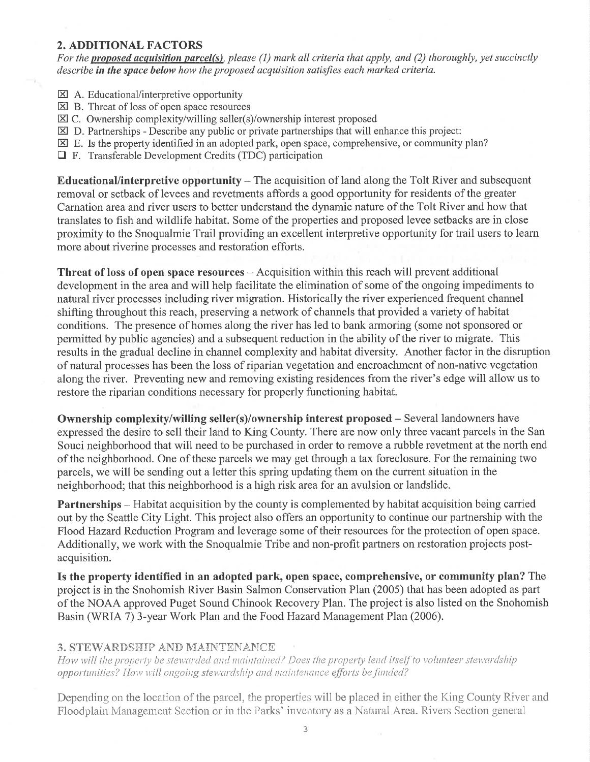#### 2. ADDITIONAL FACTORS

For the proposed acquisition parcel(s), please (1) mark all criteria that apply, and (2) thoroughly, yet succinctly describe in the space below how the proposed acquisition satisfies each marked criteria.

- **EX** A. Educational/interpretive opportunity
- $\boxtimes$  B. Threat of loss of open space resources
- EC. Ownership complexity/willing seller(s)/ownership interest proposed
- $\boxtimes$  D. Partnerships Describe any public or private partnerships that will enhance this project:
- $\boxtimes$  E. Is the property identified in an adopted park, open space, comprehensive, or community plan?
- **T** F. Transferable Development Credits (TDC) participation

Educational/interpretive opportunity  $-$  The acquisition of land along the Tolt River and subsequent removal or setback of levees and revetments affords a good opportunity for residents of the greater Carnation area and river users to better understand the dynamic nature of the Tolt River and how that translates to fish and wildlife habitat. Some of the properties and proposed levee setbacks are in close proximity to the Snoqualmie Trail providing an excellent interpretive opportunity for trail users to learn more about riverine processes and restoration efforts.

**Threat of loss of open space resources**  $-$  Acquisition within this reach will prevent additional development in the area and will help facilitate the elimination of some of the ongoing impediments to natural river processes including river migration. Historically the river experienced frequent channel shifting throughout this reach, preserving a network of channels that provided a variety of habitat conditions. The presence of homes along the river has led to bank armoring (some not sponsored or permitted by public agencies) and a subsequent reduction in the ability of the river to migrate. This results in the gradual decline in channel complexity and habitat diversity. Another factor in the disruption of natural processes has been the loss of riparian vegetation and encroachment of non-native vegetation along the river. Preventing new and removing existing residences from the river's edge will allow us to restore the riparian conditions necessary for properly functioning habitat.

Ownership complexity/willing seller(s)/ownership interest proposed – Several landowners have expressed the desire to sell their land to King County. There are now only three vacant parcels in the San Souci neighborhood that will need to be purchased in order to remove a rubble revetment at the north end of the neighborhood. One of these parcels we may get through a tax foreclosure. For the remaining two parcels, we will be sending out a letter this spring updating them on the current situation in the neighborhood; that this neighborhood is a high risk area for an avulsion or landslide.

Partnerships – Habitat acquisition by the county is complemented by habitat acquisition being carried out by the Seattle City Light. This project also offers an opportunity to continue our partnership with the Flood Hazard Reduction Program and leverage some of their resources for the protection of open space. Additionally, we work with the Snoqualmie Tribe and non-profit partners on restoration projects postacquisition.

Is the property identified in an adopted park, open space, comprehensive, or community plan? The project is in the Snohomish River Basin Salmon Conservation Plan (2005) that has been adopted as part of the NOAA approved Puget Sound Chinook Recovery Plan. The project is also listed on the Snohomish Basin (WRIA 7) 3-year Work Plan and the Food Hazard Management Plan (2006).

#### 3. STEWARDSHIP AND MAINTENANCE

How will the property be stewarded and maintained? Does the property lend itself to volunteer stewardship opportunities? How will ongoing stewardship and maintenance efforts be funded?

Depending on the location of the parcel, the properties will be placed in either the King County River and Floodplain Management Section or in the Parks' inventory as a Natural Area. Rivers Section general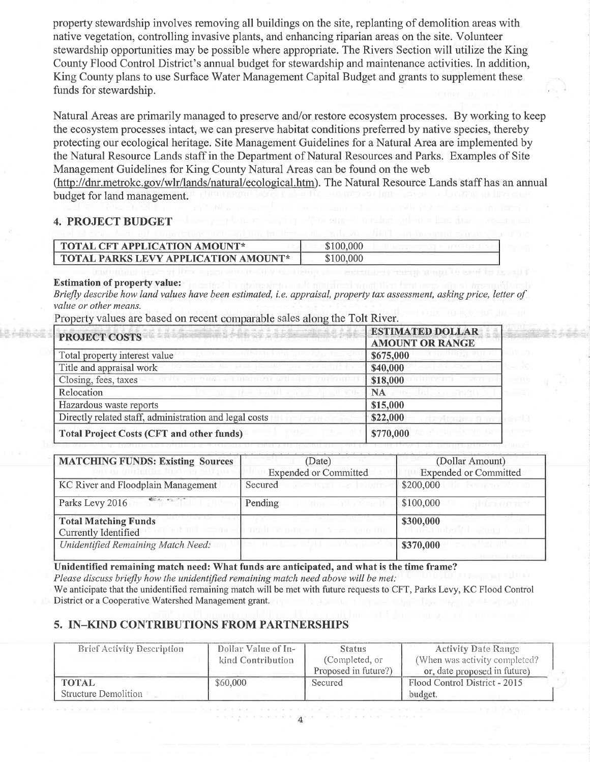propefiy stewardship involves removing all buildings on the site, replanting of demolition areas with native vegetation, controlling invasive plants, and enhancing riparian areas on the site. Volunteer stewardship opportunities may be possible where appropriate. The Rivers Section will utilize the King County Flood Control District's annual budget for stewardship and maintenance activities. In addition, King County plans to use Surface Water Management Capital Budget and grants to supplement these funds for stewardship.

Natural Areas are primarily managed to preserve and/or restore ecosystem processes. By working to keep the ecosystem processes intact, we can preserve habitat conditions preferred by native species, thereby protecting our ecological heritage. Site Management Guidelines for a Natural Area are implemented by the Natural Resource Lands staff in the Department of Natural Resources and Parks. Examples of Site Management Guidelines for King County Natural Areas can be found on the web (http://dnr.metrokc.gov/wlr/lands/natural/ecological.htm). The Natural Resource Lands staff has an annual budget for land management.

#### 4. PROJECT BUDGET

| <b>TOTAL CFT APPLICATION AMOUNT*</b>        | \$100,000 |
|---------------------------------------------|-----------|
| <b>TOTAL PARKS LEVY APPLICATION AMOUNT*</b> | \$100,000 |

#### Estimation of property value:

Briefly describe how land values have been estimated, i.e. appraisal, property tax assessment, asking price, letter of value or other means.

Property values are based on recent comparable sales along the Tolt River.

| PROJECT COSTS                                          | <b>ESTIMATED DOLLAR</b><br><b>AMOUNT OR RANGE</b> |
|--------------------------------------------------------|---------------------------------------------------|
| Total property interest value                          | \$675,000                                         |
| Title and appraisal work                               | \$40,000                                          |
| Closing, fees, taxes                                   | \$18,000                                          |
| Relocation                                             | <b>NA</b>                                         |
| Hazardous waste reports                                | \$15,000                                          |
| Directly related staff, administration and legal costs | \$22,000                                          |
| Total Project Costs (CFT and other funds)              | \$770,000                                         |

| <b>MATCHING FUNDS: Existing Sources</b> | (Date)                       | (Dollar Amount)                |  |
|-----------------------------------------|------------------------------|--------------------------------|--|
| Don't de moinigine factores sultance    | <b>Expended or Committed</b> | <b>Expended or Committed</b>   |  |
| KC River and Floodplain Management      | Secured                      | \$200,000<br><b>CONTRACTOR</b> |  |
| Market Hall Tor<br>Parks Levy 2016      | Pending                      | \$100,000                      |  |
| <b>Total Matching Funds</b>             |                              | \$300,000                      |  |
| Currently Identified                    | I half dufusing forecan bu   |                                |  |
| Unidentified Remaining Match Need:      |                              | \$370,000                      |  |

Unidentified remaining match need: What funds are anticipated, and what is the time frame? Please discuss briefly how the unidentified remaining match need above will be met: We anticipate that the unidentified remaining match will be met with future requests to CFT, Parks Levy, KC Flood Control District or a Cooperative Watershed Management grant.

### 5. IN-KIND CONTRIBUTIONS FROM PARTNERSHIPS

| <b>Brief Activity Description</b> | Dollar Value of In- | <b>Status</b>        | <b>Activity Date Range</b>    |
|-----------------------------------|---------------------|----------------------|-------------------------------|
|                                   | kind Contribution   | (Completed, or       | (When was activity completed? |
|                                   |                     | Proposed in future?) | or, date proposed in future)  |
| <b>TOTAL</b>                      | \$60,000            | Secured              | Flood Control District - 2015 |
| Structure Demolition              |                     |                      | budget.                       |

 $\overline{A}$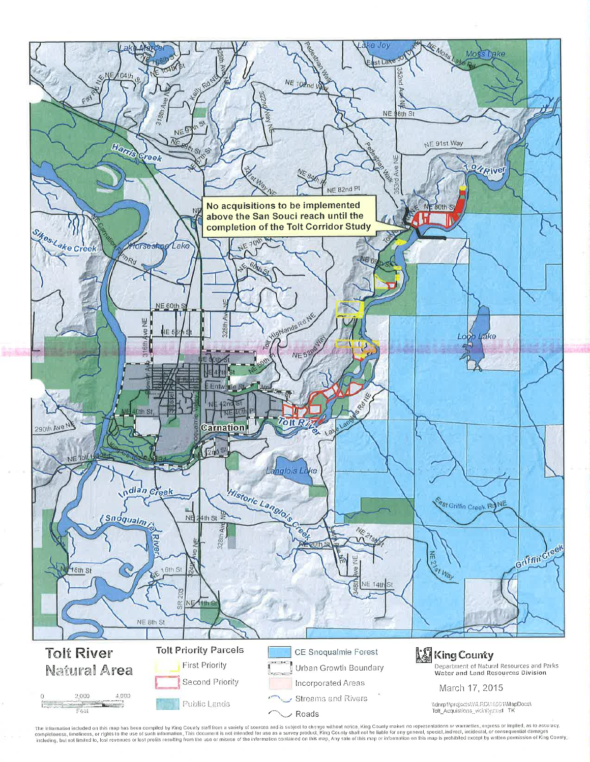

The information included on this map has been compiled by King County staff from a variely of sources and is subject to change wilhout notice. King County makes no representations or warranties, express or implied, as to a